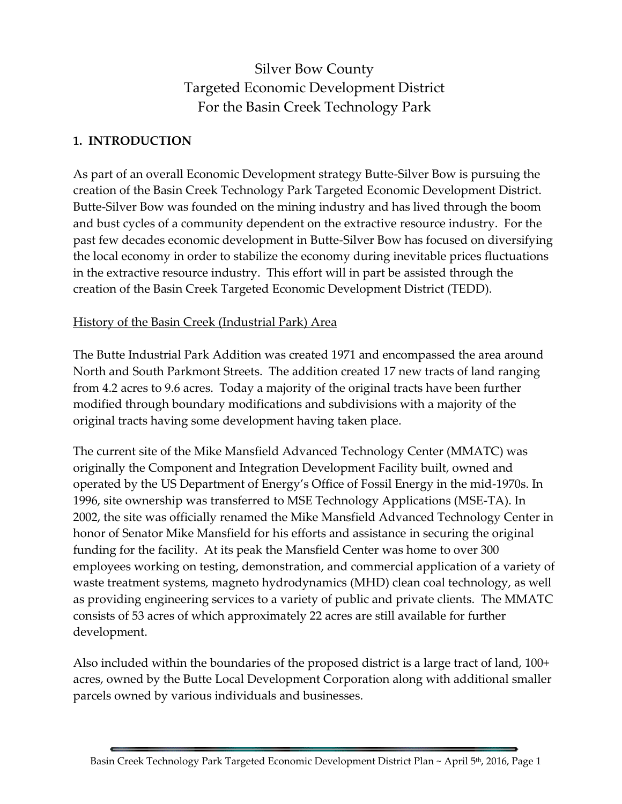# Silver Bow County Targeted Economic Development District For the Basin Creek Technology Park

#### **1. INTRODUCTION**

As part of an overall Economic Development strategy Butte-Silver Bow is pursuing the creation of the Basin Creek Technology Park Targeted Economic Development District. Butte-Silver Bow was founded on the mining industry and has lived through the boom and bust cycles of a community dependent on the extractive resource industry. For the past few decades economic development in Butte-Silver Bow has focused on diversifying the local economy in order to stabilize the economy during inevitable prices fluctuations in the extractive resource industry. This effort will in part be assisted through the creation of the Basin Creek Targeted Economic Development District (TEDD).

#### History of the Basin Creek (Industrial Park) Area

The Butte Industrial Park Addition was created 1971 and encompassed the area around North and South Parkmont Streets. The addition created 17 new tracts of land ranging from 4.2 acres to 9.6 acres. Today a majority of the original tracts have been further modified through boundary modifications and subdivisions with a majority of the original tracts having some development having taken place.

The current site of the Mike Mansfield Advanced Technology Center (MMATC) was originally the Component and Integration Development Facility built, owned and operated by the US Department of Energy's Office of Fossil Energy in the mid-1970s. In 1996, site ownership was transferred to MSE Technology Applications (MSE-TA). In 2002, the site was officially renamed the Mike Mansfield Advanced Technology Center in honor of Senator Mike Mansfield for his efforts and assistance in securing the original funding for the facility. At its peak the Mansfield Center was home to over 300 employees working on testing, demonstration, and commercial application of a variety of waste treatment systems, magneto hydrodynamics (MHD) clean coal technology, as well as providing engineering services to a variety of public and private clients. The MMATC consists of 53 acres of which approximately 22 acres are still available for further development.

Also included within the boundaries of the proposed district is a large tract of land, 100+ acres, owned by the Butte Local Development Corporation along with additional smaller parcels owned by various individuals and businesses.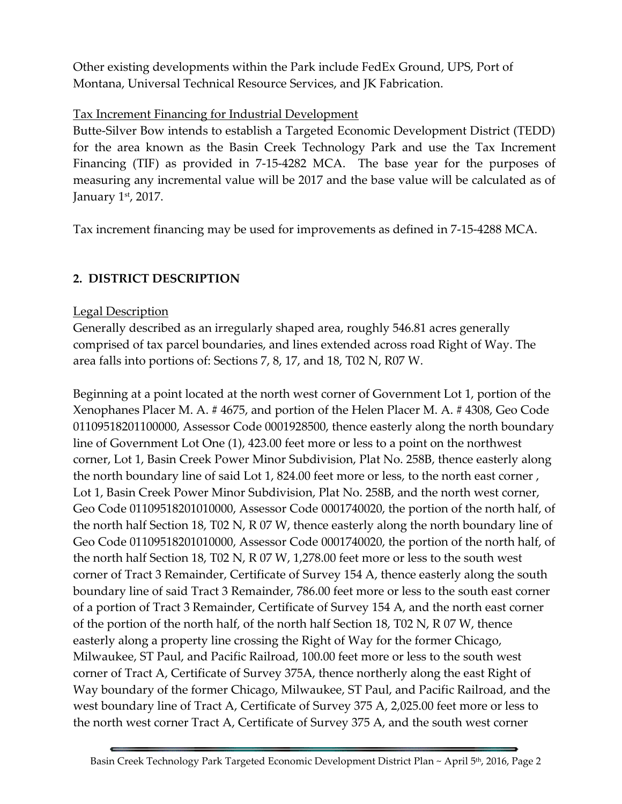Other existing developments within the Park include FedEx Ground, UPS, Port of Montana, Universal Technical Resource Services, and JK Fabrication.

### Tax Increment Financing for Industrial Development

Butte-Silver Bow intends to establish a Targeted Economic Development District (TEDD) for the area known as the Basin Creek Technology Park and use the Tax Increment Financing (TIF) as provided in 7-15-4282 MCA. The base year for the purposes of measuring any incremental value will be 2017 and the base value will be calculated as of January 1st, 2017.

Tax increment financing may be used for improvements as defined in 7-15-4288 MCA.

# **2. DISTRICT DESCRIPTION**

#### Legal Description

Generally described as an irregularly shaped area, roughly 546.81 acres generally comprised of tax parcel boundaries, and lines extended across road Right of Way. The area falls into portions of: Sections 7, 8, 17, and 18, T02 N, R07 W.

Beginning at a point located at the north west corner of Government Lot 1, portion of the Xenophanes Placer M. A. # 4675, and portion of the Helen Placer M. A. # 4308, Geo Code 01109518201100000, Assessor Code 0001928500, thence easterly along the north boundary line of Government Lot One (1), 423.00 feet more or less to a point on the northwest corner, Lot 1, Basin Creek Power Minor Subdivision, Plat No. 258B, thence easterly along the north boundary line of said Lot 1, 824.00 feet more or less, to the north east corner , Lot 1, Basin Creek Power Minor Subdivision, Plat No. 258B, and the north west corner, Geo Code 01109518201010000, Assessor Code 0001740020, the portion of the north half, of the north half Section 18, T02 N, R 07 W, thence easterly along the north boundary line of Geo Code 01109518201010000, Assessor Code 0001740020, the portion of the north half, of the north half Section 18, T02 N, R 07 W, 1,278.00 feet more or less to the south west corner of Tract 3 Remainder, Certificate of Survey 154 A, thence easterly along the south boundary line of said Tract 3 Remainder, 786.00 feet more or less to the south east corner of a portion of Tract 3 Remainder, Certificate of Survey 154 A, and the north east corner of the portion of the north half, of the north half Section 18, T02 N, R 07 W, thence easterly along a property line crossing the Right of Way for the former Chicago, Milwaukee, ST Paul, and Pacific Railroad, 100.00 feet more or less to the south west corner of Tract A, Certificate of Survey 375A, thence northerly along the east Right of Way boundary of the former Chicago, Milwaukee, ST Paul, and Pacific Railroad, and the west boundary line of Tract A, Certificate of Survey 375 A, 2,025.00 feet more or less to the north west corner Tract A, Certificate of Survey 375 A, and the south west corner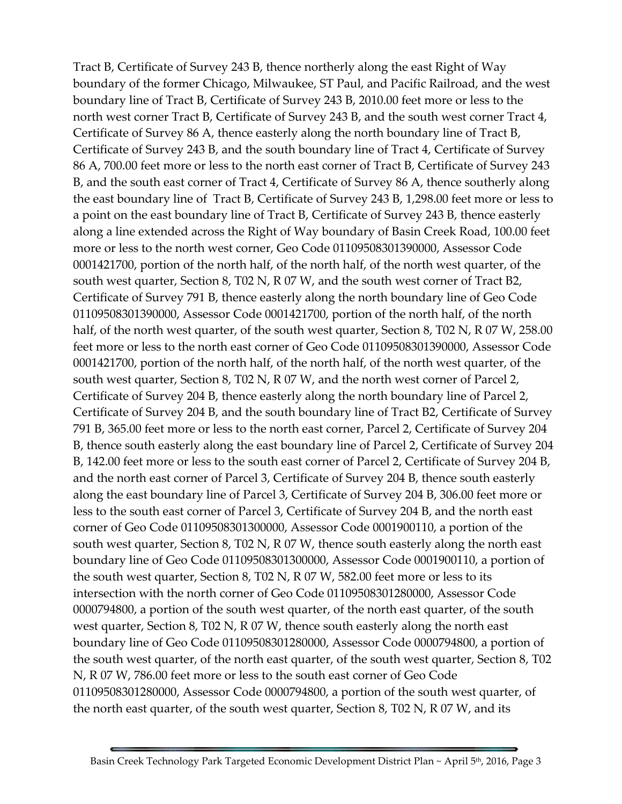Tract B, Certificate of Survey 243 B, thence northerly along the east Right of Way boundary of the former Chicago, Milwaukee, ST Paul, and Pacific Railroad, and the west boundary line of Tract B, Certificate of Survey 243 B, 2010.00 feet more or less to the north west corner Tract B, Certificate of Survey 243 B, and the south west corner Tract 4, Certificate of Survey 86 A, thence easterly along the north boundary line of Tract B, Certificate of Survey 243 B, and the south boundary line of Tract 4, Certificate of Survey 86 A, 700.00 feet more or less to the north east corner of Tract B, Certificate of Survey 243 B, and the south east corner of Tract 4, Certificate of Survey 86 A, thence southerly along the east boundary line of Tract B, Certificate of Survey 243 B, 1,298.00 feet more or less to a point on the east boundary line of Tract B, Certificate of Survey 243 B, thence easterly along a line extended across the Right of Way boundary of Basin Creek Road, 100.00 feet more or less to the north west corner, Geo Code 01109508301390000, Assessor Code 0001421700, portion of the north half, of the north half, of the north west quarter, of the south west quarter, Section 8, T02 N, R 07 W, and the south west corner of Tract B2, Certificate of Survey 791 B, thence easterly along the north boundary line of Geo Code 01109508301390000, Assessor Code 0001421700, portion of the north half, of the north half, of the north west quarter, of the south west quarter, Section 8, T02 N, R 07 W, 258.00 feet more or less to the north east corner of Geo Code 01109508301390000, Assessor Code 0001421700, portion of the north half, of the north half, of the north west quarter, of the south west quarter, Section 8, T02 N, R 07 W, and the north west corner of Parcel 2, Certificate of Survey 204 B, thence easterly along the north boundary line of Parcel 2, Certificate of Survey 204 B, and the south boundary line of Tract B2, Certificate of Survey 791 B, 365.00 feet more or less to the north east corner, Parcel 2, Certificate of Survey 204 B, thence south easterly along the east boundary line of Parcel 2, Certificate of Survey 204 B, 142.00 feet more or less to the south east corner of Parcel 2, Certificate of Survey 204 B, and the north east corner of Parcel 3, Certificate of Survey 204 B, thence south easterly along the east boundary line of Parcel 3, Certificate of Survey 204 B, 306.00 feet more or less to the south east corner of Parcel 3, Certificate of Survey 204 B, and the north east corner of Geo Code 01109508301300000, Assessor Code 0001900110, a portion of the south west quarter, Section 8, T02 N, R 07 W, thence south easterly along the north east boundary line of Geo Code 01109508301300000, Assessor Code 0001900110, a portion of the south west quarter, Section 8, T02 N, R 07 W, 582.00 feet more or less to its intersection with the north corner of Geo Code 01109508301280000, Assessor Code 0000794800, a portion of the south west quarter, of the north east quarter, of the south west quarter, Section 8, T02 N, R 07 W, thence south easterly along the north east boundary line of Geo Code 01109508301280000, Assessor Code 0000794800, a portion of the south west quarter, of the north east quarter, of the south west quarter, Section 8, T02 N, R 07 W, 786.00 feet more or less to the south east corner of Geo Code 01109508301280000, Assessor Code 0000794800, a portion of the south west quarter, of the north east quarter, of the south west quarter, Section 8, T02 N, R 07 W, and its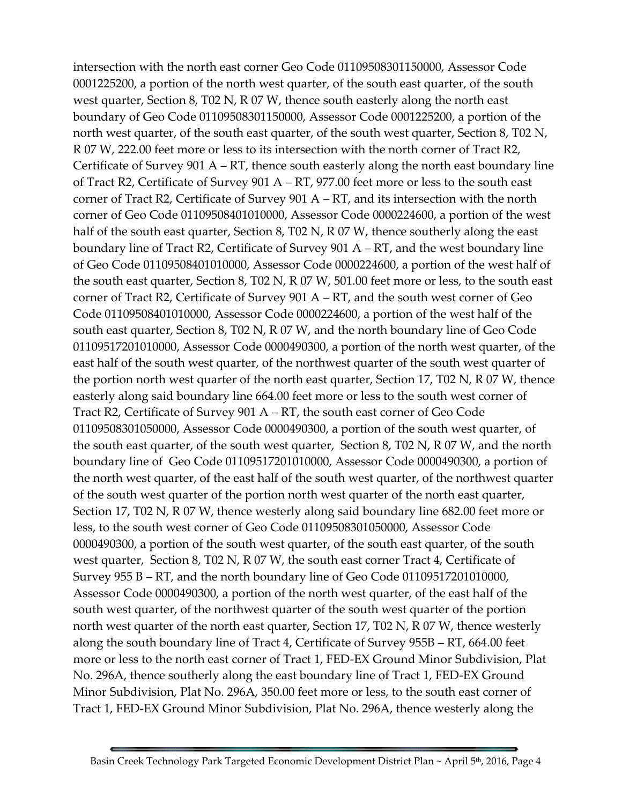intersection with the north east corner Geo Code 01109508301150000, Assessor Code 0001225200, a portion of the north west quarter, of the south east quarter, of the south west quarter, Section 8, T02 N, R 07 W, thence south easterly along the north east boundary of Geo Code 01109508301150000, Assessor Code 0001225200, a portion of the north west quarter, of the south east quarter, of the south west quarter, Section 8, T02 N, R 07 W, 222.00 feet more or less to its intersection with the north corner of Tract R2, Certificate of Survey 901 A – RT, thence south easterly along the north east boundary line of Tract R2, Certificate of Survey 901 A – RT, 977.00 feet more or less to the south east corner of Tract R2, Certificate of Survey 901 A – RT, and its intersection with the north corner of Geo Code 01109508401010000, Assessor Code 0000224600, a portion of the west half of the south east quarter, Section 8, T02 N, R 07 W, thence southerly along the east boundary line of Tract R2, Certificate of Survey 901 A – RT, and the west boundary line of Geo Code 01109508401010000, Assessor Code 0000224600, a portion of the west half of the south east quarter, Section 8, T02 N, R 07 W, 501.00 feet more or less, to the south east corner of Tract R2, Certificate of Survey 901 A – RT, and the south west corner of Geo Code 01109508401010000, Assessor Code 0000224600, a portion of the west half of the south east quarter, Section 8, T02 N, R 07 W, and the north boundary line of Geo Code 01109517201010000, Assessor Code 0000490300, a portion of the north west quarter, of the east half of the south west quarter, of the northwest quarter of the south west quarter of the portion north west quarter of the north east quarter, Section 17, T02 N, R 07 W, thence easterly along said boundary line 664.00 feet more or less to the south west corner of Tract R2, Certificate of Survey 901 A – RT, the south east corner of Geo Code 01109508301050000, Assessor Code 0000490300, a portion of the south west quarter, of the south east quarter, of the south west quarter, Section 8, T02 N, R 07 W, and the north boundary line of Geo Code 01109517201010000, Assessor Code 0000490300, a portion of the north west quarter, of the east half of the south west quarter, of the northwest quarter of the south west quarter of the portion north west quarter of the north east quarter, Section 17, T02 N, R 07 W, thence westerly along said boundary line 682.00 feet more or less, to the south west corner of Geo Code 01109508301050000, Assessor Code 0000490300, a portion of the south west quarter, of the south east quarter, of the south west quarter, Section 8, T02 N, R 07 W, the south east corner Tract 4, Certificate of Survey 955 B – RT, and the north boundary line of Geo Code 01109517201010000, Assessor Code 0000490300, a portion of the north west quarter, of the east half of the south west quarter, of the northwest quarter of the south west quarter of the portion north west quarter of the north east quarter, Section 17, T02 N, R 07 W, thence westerly along the south boundary line of Tract 4, Certificate of Survey 955B – RT, 664.00 feet more or less to the north east corner of Tract 1, FED-EX Ground Minor Subdivision, Plat No. 296A, thence southerly along the east boundary line of Tract 1, FED-EX Ground Minor Subdivision, Plat No. 296A, 350.00 feet more or less, to the south east corner of Tract 1, FED-EX Ground Minor Subdivision, Plat No. 296A, thence westerly along the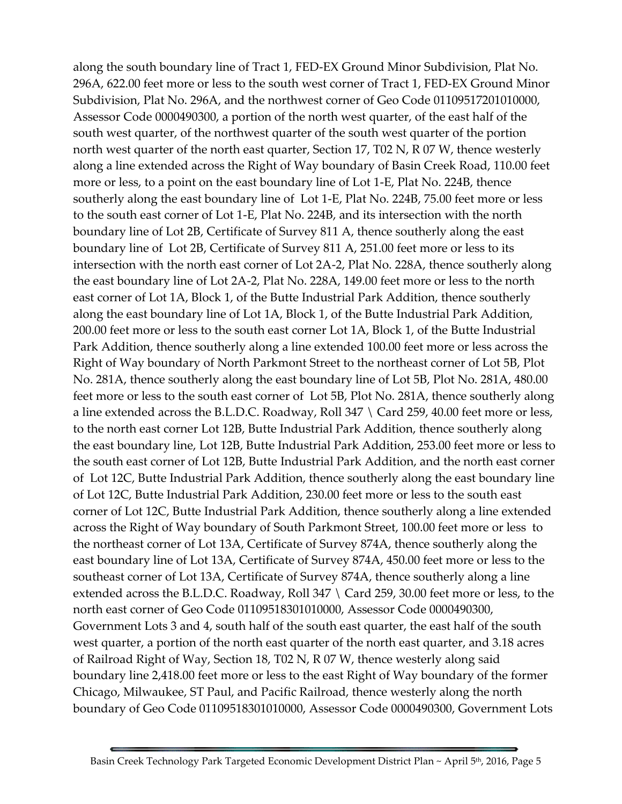along the south boundary line of Tract 1, FED-EX Ground Minor Subdivision, Plat No. 296A, 622.00 feet more or less to the south west corner of Tract 1, FED-EX Ground Minor Subdivision, Plat No. 296A, and the northwest corner of Geo Code 01109517201010000, Assessor Code 0000490300, a portion of the north west quarter, of the east half of the south west quarter, of the northwest quarter of the south west quarter of the portion north west quarter of the north east quarter, Section 17, T02 N, R 07 W, thence westerly along a line extended across the Right of Way boundary of Basin Creek Road, 110.00 feet more or less, to a point on the east boundary line of Lot 1-E, Plat No. 224B, thence southerly along the east boundary line of Lot 1-E, Plat No. 224B, 75.00 feet more or less to the south east corner of Lot 1-E, Plat No. 224B, and its intersection with the north boundary line of Lot 2B, Certificate of Survey 811 A, thence southerly along the east boundary line of Lot 2B, Certificate of Survey 811 A, 251.00 feet more or less to its intersection with the north east corner of Lot 2A-2, Plat No. 228A, thence southerly along the east boundary line of Lot 2A-2, Plat No. 228A, 149.00 feet more or less to the north east corner of Lot 1A, Block 1, of the Butte Industrial Park Addition, thence southerly along the east boundary line of Lot 1A, Block 1, of the Butte Industrial Park Addition, 200.00 feet more or less to the south east corner Lot 1A, Block 1, of the Butte Industrial Park Addition, thence southerly along a line extended 100.00 feet more or less across the Right of Way boundary of North Parkmont Street to the northeast corner of Lot 5B, Plot No. 281A, thence southerly along the east boundary line of Lot 5B, Plot No. 281A, 480.00 feet more or less to the south east corner of Lot 5B, Plot No. 281A, thence southerly along a line extended across the B.L.D.C. Roadway, Roll 347 \ Card 259, 40.00 feet more or less, to the north east corner Lot 12B, Butte Industrial Park Addition, thence southerly along the east boundary line, Lot 12B, Butte Industrial Park Addition, 253.00 feet more or less to the south east corner of Lot 12B, Butte Industrial Park Addition, and the north east corner of Lot 12C, Butte Industrial Park Addition, thence southerly along the east boundary line of Lot 12C, Butte Industrial Park Addition, 230.00 feet more or less to the south east corner of Lot 12C, Butte Industrial Park Addition, thence southerly along a line extended across the Right of Way boundary of South Parkmont Street, 100.00 feet more or less to the northeast corner of Lot 13A, Certificate of Survey 874A, thence southerly along the east boundary line of Lot 13A, Certificate of Survey 874A, 450.00 feet more or less to the southeast corner of Lot 13A, Certificate of Survey 874A, thence southerly along a line extended across the B.L.D.C. Roadway, Roll 347 \ Card 259, 30.00 feet more or less, to the north east corner of Geo Code 01109518301010000, Assessor Code 0000490300, Government Lots 3 and 4, south half of the south east quarter, the east half of the south west quarter, a portion of the north east quarter of the north east quarter, and 3.18 acres of Railroad Right of Way, Section 18, T02 N, R 07 W, thence westerly along said boundary line 2,418.00 feet more or less to the east Right of Way boundary of the former Chicago, Milwaukee, ST Paul, and Pacific Railroad, thence westerly along the north boundary of Geo Code 01109518301010000, Assessor Code 0000490300, Government Lots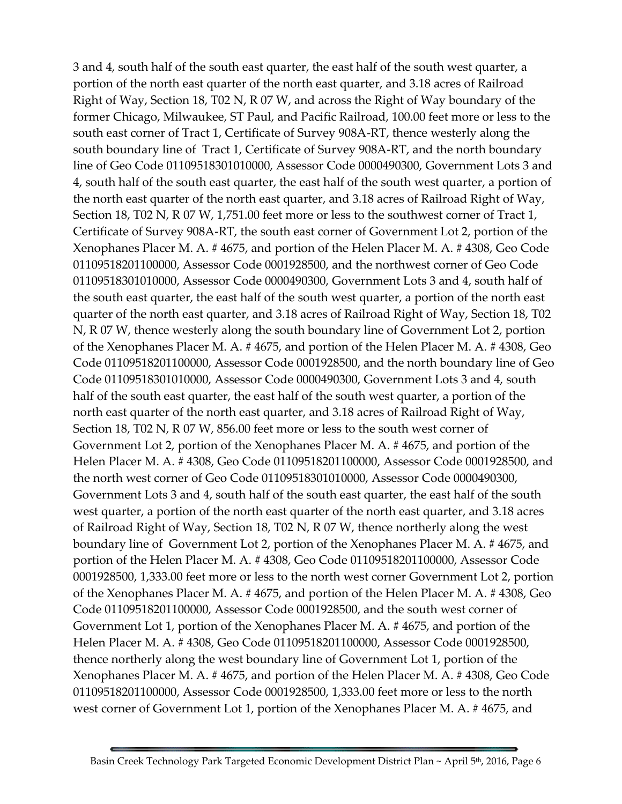3 and 4, south half of the south east quarter, the east half of the south west quarter, a portion of the north east quarter of the north east quarter, and 3.18 acres of Railroad Right of Way, Section 18, T02 N, R 07 W, and across the Right of Way boundary of the former Chicago, Milwaukee, ST Paul, and Pacific Railroad, 100.00 feet more or less to the south east corner of Tract 1, Certificate of Survey 908A-RT, thence westerly along the south boundary line of Tract 1, Certificate of Survey 908A-RT, and the north boundary line of Geo Code 01109518301010000, Assessor Code 0000490300, Government Lots 3 and 4, south half of the south east quarter, the east half of the south west quarter, a portion of the north east quarter of the north east quarter, and 3.18 acres of Railroad Right of Way, Section 18, T02 N, R 07 W, 1,751.00 feet more or less to the southwest corner of Tract 1, Certificate of Survey 908A-RT, the south east corner of Government Lot 2, portion of the Xenophanes Placer M. A. # 4675, and portion of the Helen Placer M. A. # 4308, Geo Code 01109518201100000, Assessor Code 0001928500, and the northwest corner of Geo Code 01109518301010000, Assessor Code 0000490300, Government Lots 3 and 4, south half of the south east quarter, the east half of the south west quarter, a portion of the north east quarter of the north east quarter, and 3.18 acres of Railroad Right of Way, Section 18, T02 N, R 07 W, thence westerly along the south boundary line of Government Lot 2, portion of the Xenophanes Placer M. A. # 4675, and portion of the Helen Placer M. A. # 4308, Geo Code 01109518201100000, Assessor Code 0001928500, and the north boundary line of Geo Code 01109518301010000, Assessor Code 0000490300, Government Lots 3 and 4, south half of the south east quarter, the east half of the south west quarter, a portion of the north east quarter of the north east quarter, and 3.18 acres of Railroad Right of Way, Section 18, T02 N, R 07 W, 856.00 feet more or less to the south west corner of Government Lot 2, portion of the Xenophanes Placer M. A. # 4675, and portion of the Helen Placer M. A. # 4308, Geo Code 01109518201100000, Assessor Code 0001928500, and the north west corner of Geo Code 01109518301010000, Assessor Code 0000490300, Government Lots 3 and 4, south half of the south east quarter, the east half of the south west quarter, a portion of the north east quarter of the north east quarter, and 3.18 acres of Railroad Right of Way, Section 18, T02 N, R 07 W, thence northerly along the west boundary line of Government Lot 2, portion of the Xenophanes Placer M. A. # 4675, and portion of the Helen Placer M. A. # 4308, Geo Code 01109518201100000, Assessor Code 0001928500, 1,333.00 feet more or less to the north west corner Government Lot 2, portion of the Xenophanes Placer M. A. # 4675, and portion of the Helen Placer M. A. # 4308, Geo Code 01109518201100000, Assessor Code 0001928500, and the south west corner of Government Lot 1, portion of the Xenophanes Placer M. A. # 4675, and portion of the Helen Placer M. A. # 4308, Geo Code 01109518201100000, Assessor Code 0001928500, thence northerly along the west boundary line of Government Lot 1, portion of the Xenophanes Placer M. A. # 4675, and portion of the Helen Placer M. A. # 4308, Geo Code 01109518201100000, Assessor Code 0001928500, 1,333.00 feet more or less to the north west corner of Government Lot 1, portion of the Xenophanes Placer M. A. # 4675, and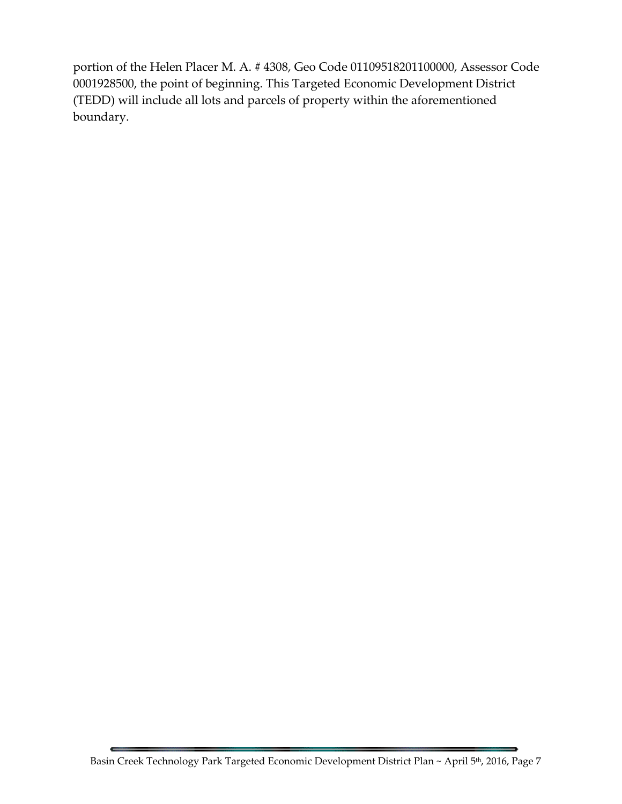portion of the Helen Placer M. A. # 4308, Geo Code 01109518201100000, Assessor Code 0001928500, the point of beginning. This Targeted Economic Development District (TEDD) will include all lots and parcels of property within the aforementioned boundary.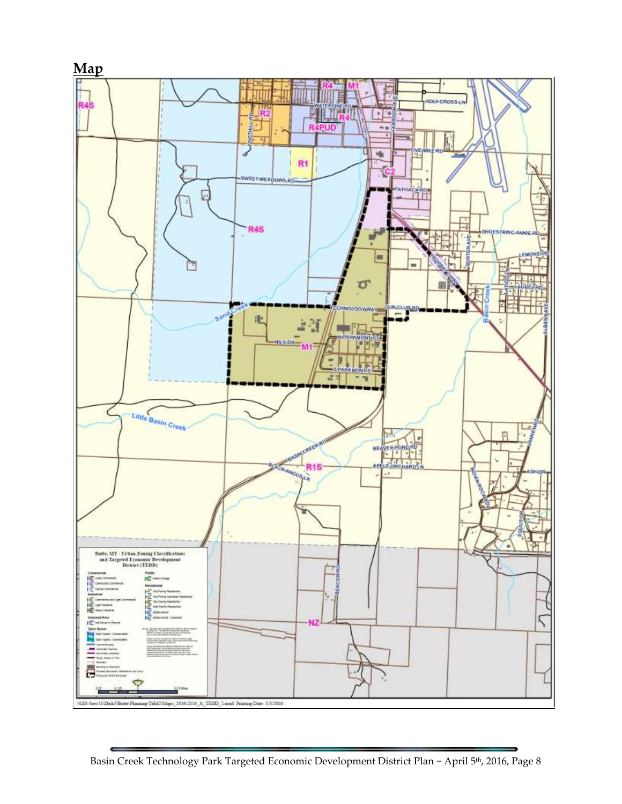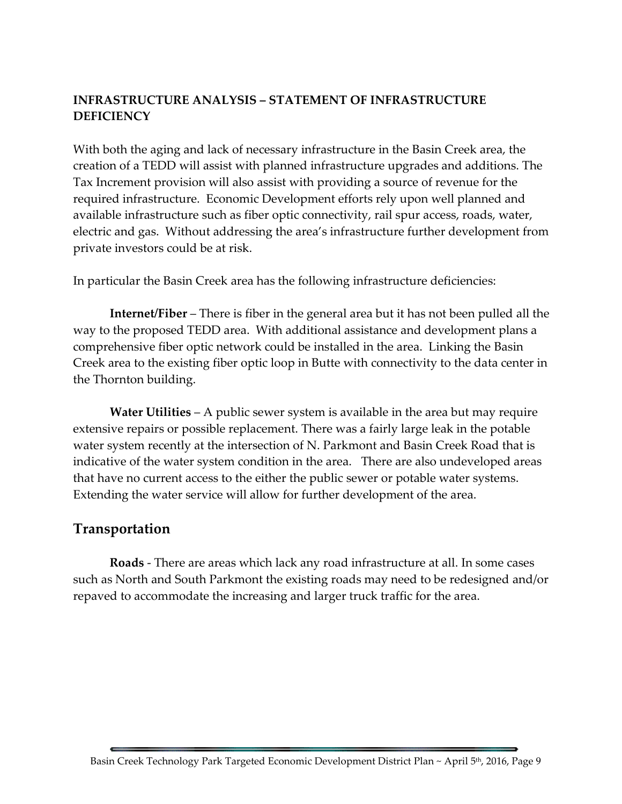# **INFRASTRUCTURE ANALYSIS – STATEMENT OF INFRASTRUCTURE DEFICIENCY**

With both the aging and lack of necessary infrastructure in the Basin Creek area, the creation of a TEDD will assist with planned infrastructure upgrades and additions. The Tax Increment provision will also assist with providing a source of revenue for the required infrastructure. Economic Development efforts rely upon well planned and available infrastructure such as fiber optic connectivity, rail spur access, roads, water, electric and gas. Without addressing the area's infrastructure further development from private investors could be at risk.

In particular the Basin Creek area has the following infrastructure deficiencies:

**Internet/Fiber** – There is fiber in the general area but it has not been pulled all the way to the proposed TEDD area. With additional assistance and development plans a comprehensive fiber optic network could be installed in the area. Linking the Basin Creek area to the existing fiber optic loop in Butte with connectivity to the data center in the Thornton building.

**Water Utilities** – A public sewer system is available in the area but may require extensive repairs or possible replacement. There was a fairly large leak in the potable water system recently at the intersection of N. Parkmont and Basin Creek Road that is indicative of the water system condition in the area. There are also undeveloped areas that have no current access to the either the public sewer or potable water systems. Extending the water service will allow for further development of the area.

# **Transportation**

**Roads** - There are areas which lack any road infrastructure at all. In some cases such as North and South Parkmont the existing roads may need to be redesigned and/or repaved to accommodate the increasing and larger truck traffic for the area.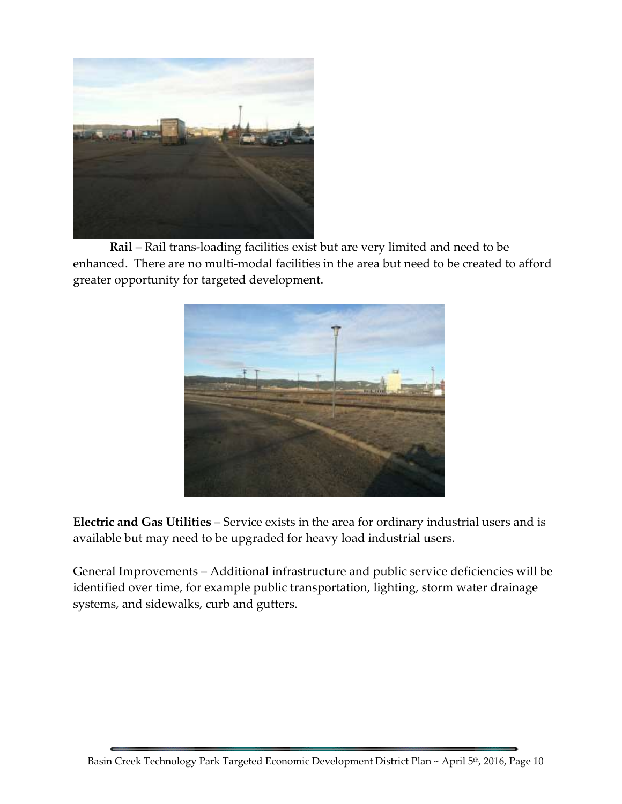

**Rail** – Rail trans-loading facilities exist but are very limited and need to be enhanced. There are no multi-modal facilities in the area but need to be created to afford greater opportunity for targeted development.



**Electric and Gas Utilities** – Service exists in the area for ordinary industrial users and is available but may need to be upgraded for heavy load industrial users.

General Improvements – Additional infrastructure and public service deficiencies will be identified over time, for example public transportation, lighting, storm water drainage systems, and sidewalks, curb and gutters.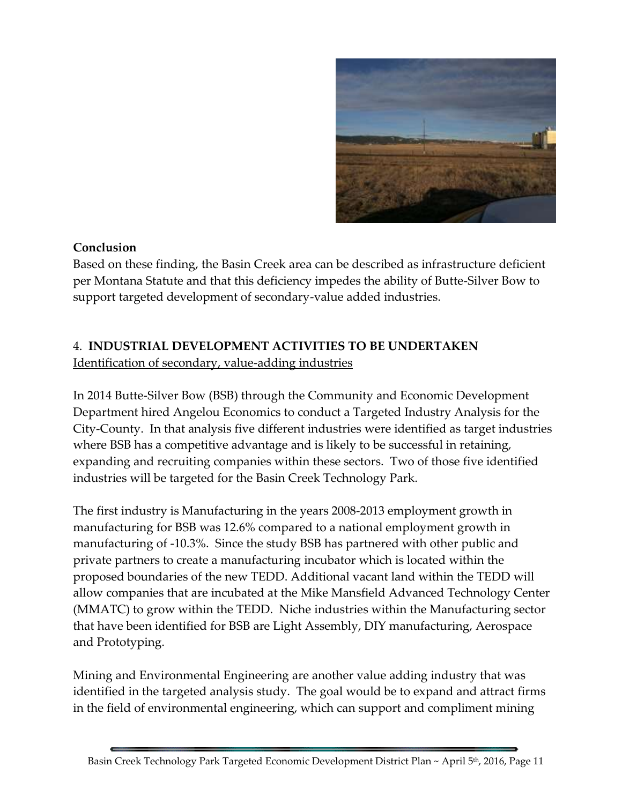

#### **Conclusion**

Based on these finding, the Basin Creek area can be described as infrastructure deficient per Montana Statute and that this deficiency impedes the ability of Butte-Silver Bow to support targeted development of secondary-value added industries.

# 4. **INDUSTRIAL DEVELOPMENT ACTIVITIES TO BE UNDERTAKEN**

Identification of secondary, value-adding industries

In 2014 Butte-Silver Bow (BSB) through the Community and Economic Development Department hired Angelou Economics to conduct a Targeted Industry Analysis for the City-County. In that analysis five different industries were identified as target industries where BSB has a competitive advantage and is likely to be successful in retaining, expanding and recruiting companies within these sectors. Two of those five identified industries will be targeted for the Basin Creek Technology Park.

The first industry is Manufacturing in the years 2008-2013 employment growth in manufacturing for BSB was 12.6% compared to a national employment growth in manufacturing of -10.3%. Since the study BSB has partnered with other public and private partners to create a manufacturing incubator which is located within the proposed boundaries of the new TEDD. Additional vacant land within the TEDD will allow companies that are incubated at the Mike Mansfield Advanced Technology Center (MMATC) to grow within the TEDD. Niche industries within the Manufacturing sector that have been identified for BSB are Light Assembly, DIY manufacturing, Aerospace and Prototyping.

Mining and Environmental Engineering are another value adding industry that was identified in the targeted analysis study. The goal would be to expand and attract firms in the field of environmental engineering, which can support and compliment mining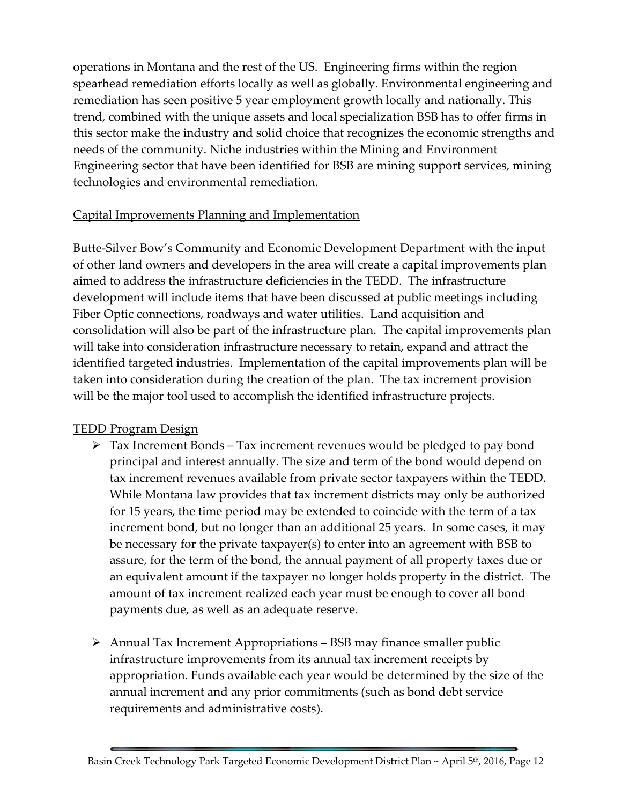operations in Montana and the rest of the US. Engineering firms within the region spearhead remediation efforts locally as well as globally. Environmental engineering and remediation has seen positive 5 year employment growth locally and nationally. This trend, combined with the unique assets and local specialization BSB has to offer firms in this sector make the industry and solid choice that recognizes the economic strengths and needs of the community. Niche industries within the Mining and Environment Engineering sector that have been identified for BSB are mining support services, mining technologies and environmental remediation.

#### Capital Improvements Planning and Implementation

Butte-Silver Bow's Community and Economic Development Department with the input of other land owners and developers in the area will create a capital improvements plan aimed to address the infrastructure deficiencies in the TEDD. The infrastructure development will include items that have been discussed at public meetings including Fiber Optic connections, roadways and water utilities. Land acquisition and consolidation will also be part of the infrastructure plan. The capital improvements plan will take into consideration infrastructure necessary to retain, expand and attract the identified targeted industries. Implementation of the capital improvements plan will be taken into consideration during the creation of the plan. The tax increment provision will be the major tool used to accomplish the identified infrastructure projects.

# TEDD Program Design

- $\triangleright$  Tax Increment Bonds Tax increment revenues would be pledged to pay bond principal and interest annually. The size and term of the bond would depend on tax increment revenues available from private sector taxpayers within the TEDD. While Montana law provides that tax increment districts may only be authorized for 15 years, the time period may be extended to coincide with the term of a tax increment bond, but no longer than an additional 25 years. In some cases, it may be necessary for the private taxpayer(s) to enter into an agreement with BSB to assure, for the term of the bond, the annual payment of all property taxes due or an equivalent amount if the taxpayer no longer holds property in the district. The amount of tax increment realized each year must be enough to cover all bond payments due, as well as an adequate reserve.
- $\triangleright$  Annual Tax Increment Appropriations BSB may finance smaller public infrastructure improvements from its annual tax increment receipts by appropriation. Funds available each year would be determined by the size of the annual increment and any prior commitments (such as bond debt service requirements and administrative costs).

Basin Creek Technology Park Targeted Economic Development District Plan ~ April 5 th, 2016, Page 12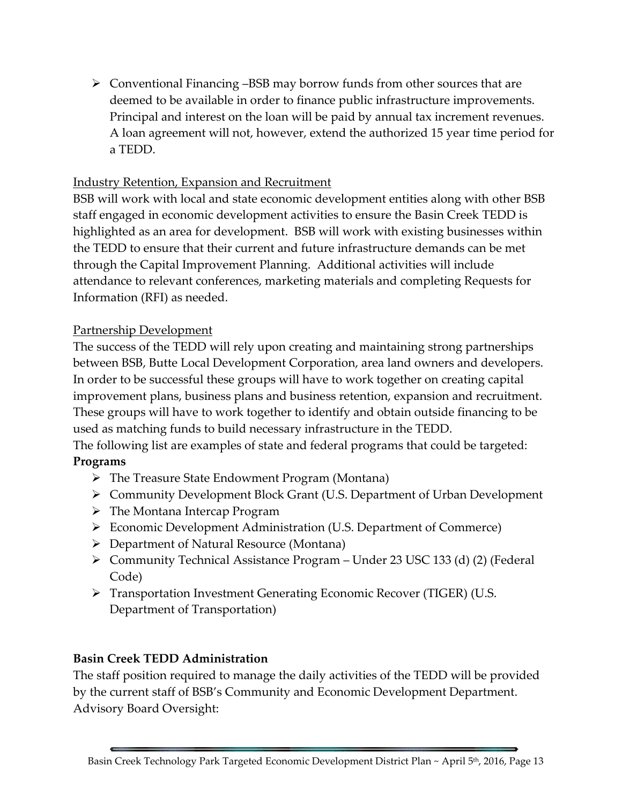$\triangleright$  Conventional Financing –BSB may borrow funds from other sources that are deemed to be available in order to finance public infrastructure improvements. Principal and interest on the loan will be paid by annual tax increment revenues. A loan agreement will not, however, extend the authorized 15 year time period for a TEDD.

#### Industry Retention, Expansion and Recruitment

BSB will work with local and state economic development entities along with other BSB staff engaged in economic development activities to ensure the Basin Creek TEDD is highlighted as an area for development. BSB will work with existing businesses within the TEDD to ensure that their current and future infrastructure demands can be met through the Capital Improvement Planning. Additional activities will include attendance to relevant conferences, marketing materials and completing Requests for Information (RFI) as needed.

#### Partnership Development

The success of the TEDD will rely upon creating and maintaining strong partnerships between BSB, Butte Local Development Corporation, area land owners and developers. In order to be successful these groups will have to work together on creating capital improvement plans, business plans and business retention, expansion and recruitment. These groups will have to work together to identify and obtain outside financing to be used as matching funds to build necessary infrastructure in the TEDD.

The following list are examples of state and federal programs that could be targeted: **Programs**

# The Treasure State Endowment Program (Montana)

- Community Development Block Grant (U.S. Department of Urban Development
- The Montana Intercap Program
- Economic Development Administration (U.S. Department of Commerce)
- Department of Natural Resource (Montana)
- Community Technical Assistance Program Under 23 USC 133 (d) (2) (Federal Code)
- Transportation Investment Generating Economic Recover (TIGER) (U.S. Department of Transportation)

# **Basin Creek TEDD Administration**

The staff position required to manage the daily activities of the TEDD will be provided by the current staff of BSB's Community and Economic Development Department. Advisory Board Oversight: